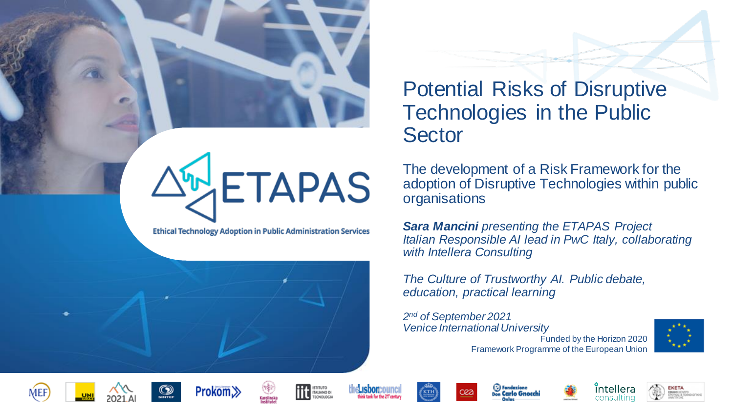

**Ethical Technology Adoption in Public Administration Services** 



# Potential Risks of Disruptive Technologies in the Public **Sector**

The development of a Risk Framework for the adoption of Disruptive Technologies within public organisations

*Sara Mancini presenting the ETAPAS Project Italian Responsible AI lead in PwC Italy, collaborating with Intellera Consulting*

*The Culture of Trustworthy AI. Public debate, education, practical learning*

Funded by the Horizon 2020 Framework Programme of the European Union *2nd of September 2021 Venice International University*





















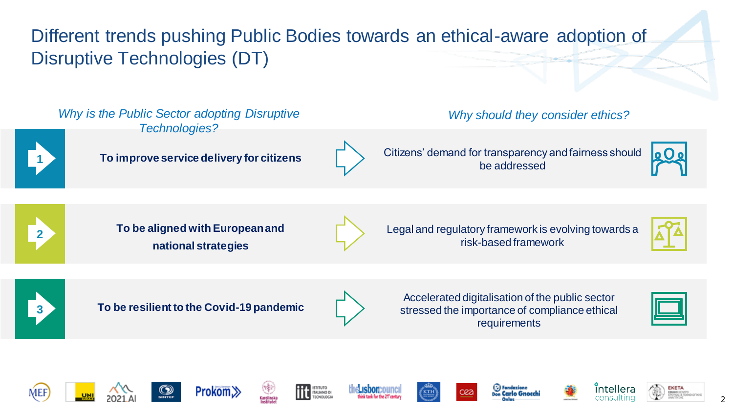Different trends pushing Public Bodies towards an ethical-aware adoption of Disruptive Technologies (DT)

*Why is the Public Sector adopting Disruptive Technologies?* 



**<sup>1</sup> To improve service delivery for citizens** Citizens' demand for transparency and fairness should

*Why should they consider ethics?* 

be addressed





**To be aligned with European and national strategies**



Legal and regulatory framework is evolving towards a risk-based framework





**3 To be resilient to the Covid-19 pandemic**



Accelerated digitalisation of the public sector stressed the importance of compliance ethical requirements

















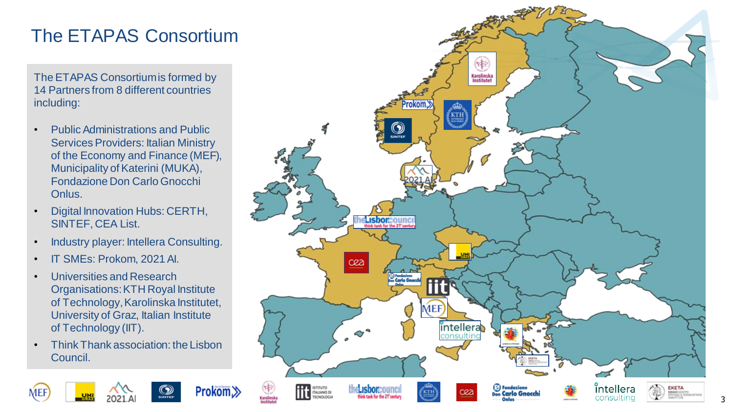# The ETAPAS Consortium

The ETAPAS Consortium is formed by 14 Partners from 8 different countries including:

- Public Administrations and Public Services Providers: Italian Ministry of the Economy and Finance (MEF), Municipality of Katerini (MUKA), Fondazione Don Carlo Gnocchi Onlus .
- Digital Innovation Hubs: CERTH, SINTEF, CEA List.
- Industry player: Intellera Consulting.
- IT SMEs: Prokom, 2021 AI.

MEI

- Universities and Research Organisations: KTH Royal Institute of Technology, Karolinska Institutet, University of Graz, Italian Institute of Technology (IIT).
- Think Thank association: the Lisbon Council.

Prokom≫

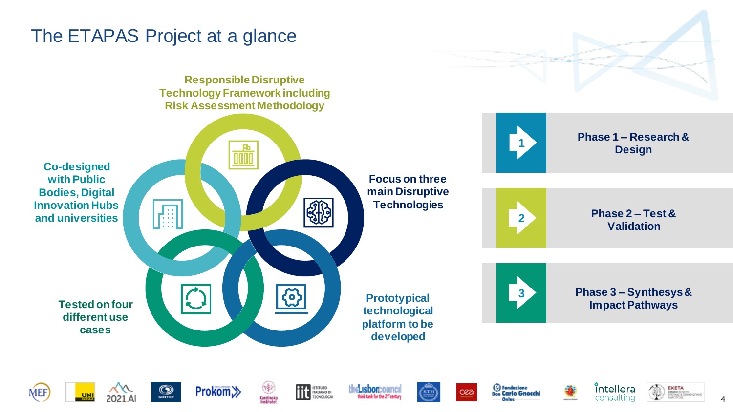### The ETAPAS Project at a glance

**Responsible Disruptive Technology Framework including Risk Assessment Methodology**

<u>TITTI</u>







**Phase 1 – Research & Design**



**Phase 2 – Test & Validation**

**Tested on four different use cases** 



**Prototypical technological platform to be developed** 



**3 Phase 3 – Synthesys& Impact Pathways**







**Prokom**≫



ISTITUTO<br>ITALIANO DI<br>TECNOLOGIA











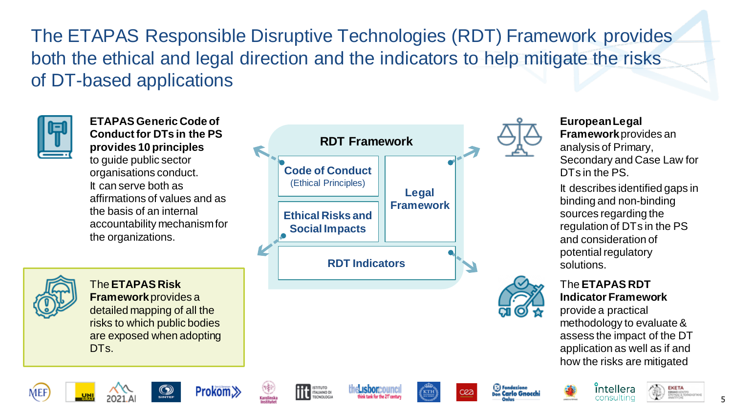The ETAPAS Responsible Disruptive Technologies (RDT) Framework provides both the ethical and legal direction and the indicators to help mitigate the risks of DT-based applications



**ETAPAS Generic Code of Conduct for DTs in the PS provides 10 principles**  to guide public sector organisations conduct. It can serve both as affirmations of values and as the basis of an internal accountability mechanism for the organizations.





**European Legal Framework** provides an analysis of Primary, Secondary and Case Law for DTs in the PS.

It describes identified gaps in binding and non-binding sources regarding the regulation of DTs in the PS and consideration of potential regulatory solutions.



The **ETAPAS RDT Indicator Framework**  provide a practical

methodology to evaluate & assess the impact of the DT application as well as if and how the risks are mitigated



The **ETAPAS Risk Framework** provides a detailed mapping of all the risks to which public bodies are exposed when adopting DT<sub>s</sub>.



















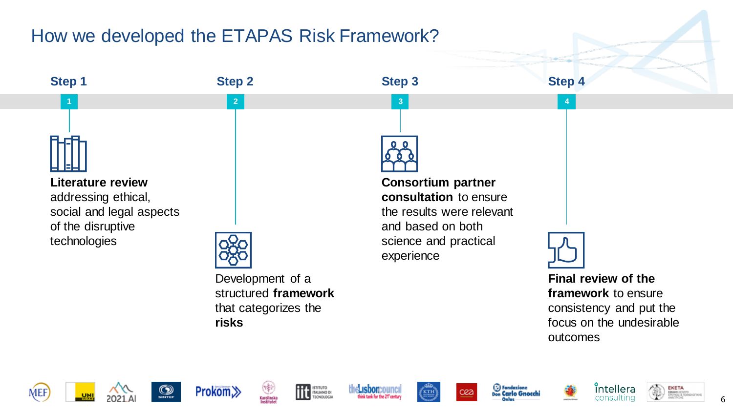# How we developed the ETAPAS Risk Framework?























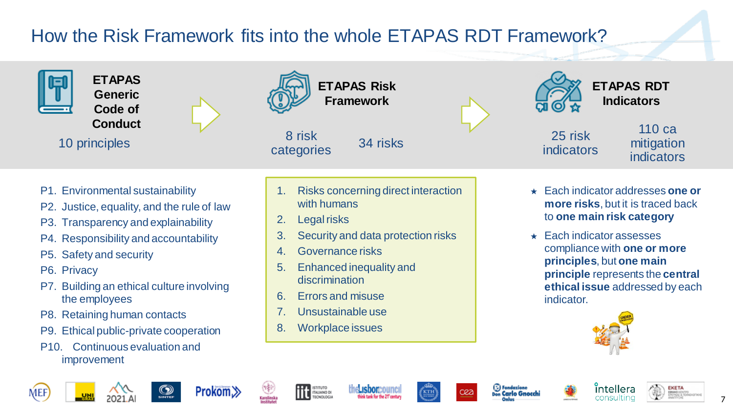# How the Risk Framework fits into the whole ETAPAS RDT Framework?

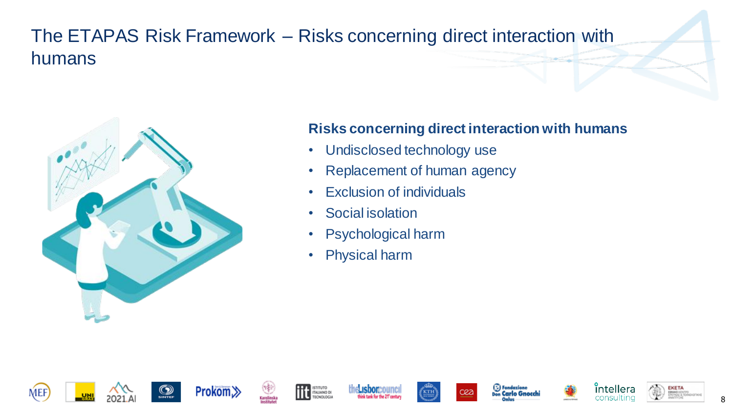# The ETAPAS Risk Framework – Risks concerning direct interaction with humans



#### **Risks concerning direct interaction with humans**

- Undisclosed technology use
- Replacement of human agency
- Exclusion of individuals
- Social isolation
- Psychological harm
- Physical harm



















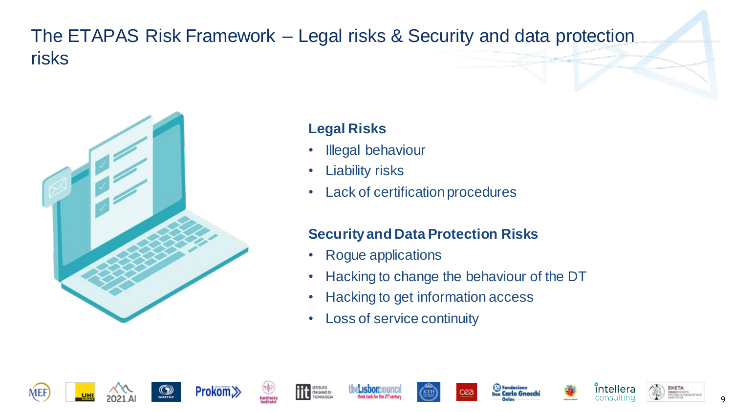# The ETAPAS Risk Framework – Legal risks & Security and data protection risks



#### **Legal Risks**

- Illegal behaviour
- Liability risks
- Lack of certification procedures

#### **Security and Data Protection Risks**

- Rogue applications
- Hacking to change the behaviour of the DT
- Hacking to get information access
- Loss of service continuity

















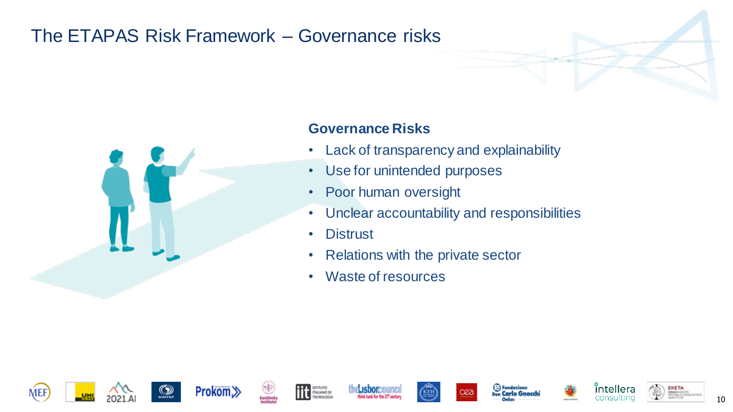# The ETAPAS Risk Framework – Governance risks



#### **Governance Risks**

- Lack of transparency and explainability
- Use for unintended purposes
- Poor human oversight
- Unclear accountability and responsibilities
- Distrust
- Relations with the private sector
- Waste of resources

















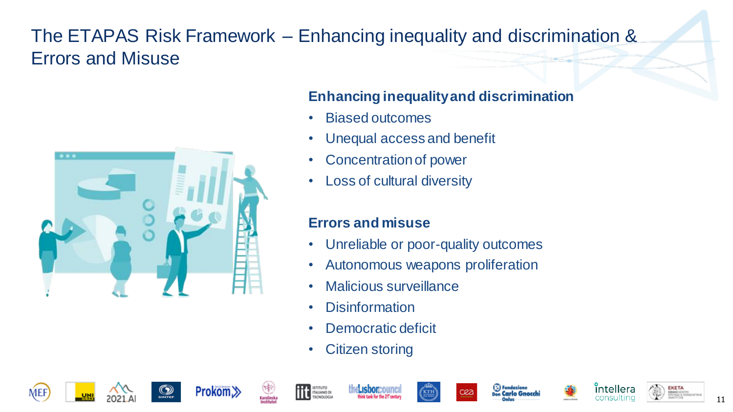# The ETAPAS Risk Framework – Enhancing inequality and discrimination & Errors and Misuse



#### **Enhancing inequality and discrimination**

- Biased outcomes
- Unequal access and benefit
- Concentration of power
- Loss of cultural diversity

#### **Errors and misuse**

- Unreliable or poor-quality outcomes
- Autonomous weapons proliferation
- Malicious surveillance
- Disinformation
- Democratic deficit
- Citizen storing

















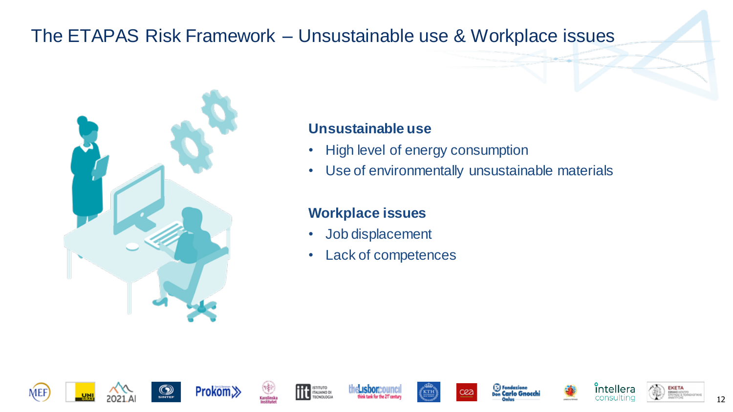### The ETAPAS Risk Framework – Unsustainable use & Workplace issues



#### **Unsustainable use**

- High level of energy consumption
- Use of environmentally unsustainable materials

#### **Workplace issues**

- Job displacement
- Lack of competences

















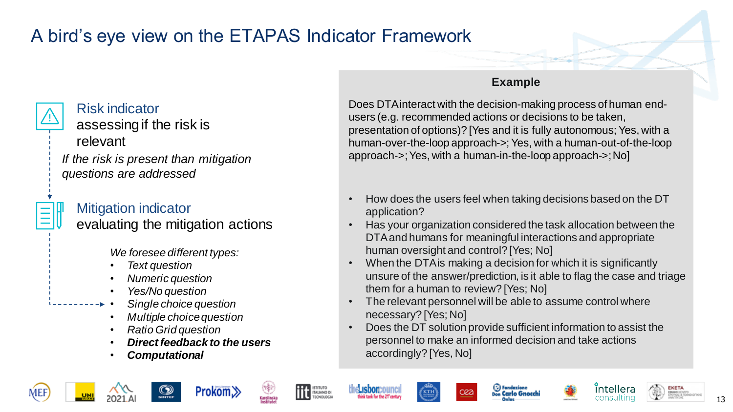# A bird's eye view on the ETAPAS Indicator Framework



#### Risk indicator

assessing if the risk is

relevant

*If the risk is present than mitigation questions are addressed*

# Mitigation indicator

evaluating the mitigation actions

*We foresee different types:*

- *Text question*
- *Numeric question*
- *Yes/No question*
- *Single choice question*
- *Multiple choice question*
- *Ratio Grid question*
- *Direct feedback to the users*

Prokom.

• *Computational* 

#### **Example**

Does DTA interact with the decision-making process of human endusers (e.g. recommended actions or decisions to be taken, presentation of options)? [Yes and it is fully autonomous; Yes, with a human-over-the-loop approach->; Yes, with a human-out-of-the-loop approach->; Yes, with a human-in-the-loop approach->; No]

- How does the users feel when taking decisions based on the DT application?
- Has your organization considered the task allocation between the DTA and humans for meaningful interactions and appropriate human oversight and control? [Yes; No]
- When the DTA is making a decision for which it is significantly unsure of the answer/prediction, is it able to flag the case and triage them for a human to review? [Yes; No]
- The relevant personnel will be able to assume control where necessary? [Yes; No]
- Does the DT solution provide sufficient information to assist the personnel to make an informed decision and take actions accordingly? [Yes, No]





ISTITUTO<br>ITALIANO DI







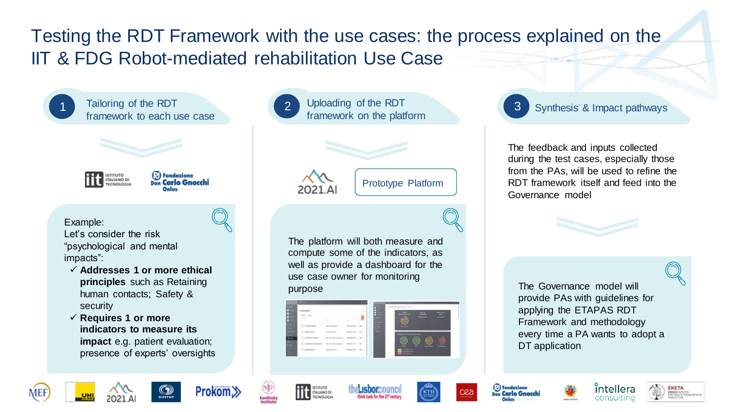# Testing the RDT Framework with the use cases: the process explained on the IIT & FDG Robot-mediated rehabilitation Use Case



Tailoring of the RDT framework to each use case



(E) Fondazione <sub>Don</sub> Carlo Gnocchi

Example: Let's consider the risk "psychological and mental impacts":

- ✓ **Addresses 1 or more ethical principles** such as Retaining human contacts; Safety & security
- ✓ **Requires 1 or more indicators to measure its impact** e.g. patient evaluation; presence of experts' oversights



2021.A

Prototype Platform

The platform will both measure and compute some of the indicators, as well as provide a dashboard for the use case owner for monitoring purpose **The Governance model will** be the The Governance model will





3 Synthesis & Impact pathways

The feedback and inputs collected during the test cases, especially those from the PAs, will be used to refine the RDT framework itself and feed into the Governance model

provide PAs with guidelines for applying the ETAPAS RDT Framework and methodology every time a PA wants to adopt a DT application









ISTITUTO<br>ITALIANO DI

TECNOLOGIA